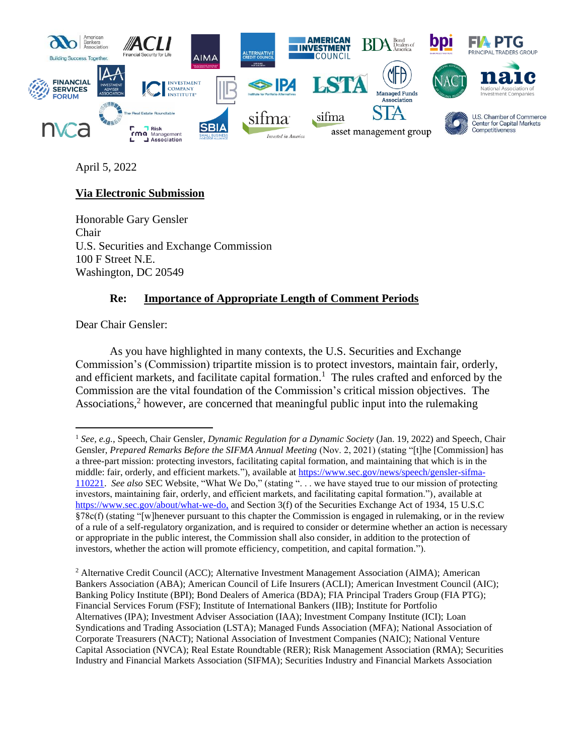

April 5, 2022

# **Via Electronic Submission**

Honorable Gary Gensler Chair U.S. Securities and Exchange Commission 100 F Street N.E. Washington, DC 20549

# **Re: Importance of Appropriate Length of Comment Periods**

Dear Chair Gensler:

As you have highlighted in many contexts, the U.S. Securities and Exchange Commission's (Commission) tripartite mission is to protect investors, maintain fair, orderly, and efficient markets, and facilitate capital formation. 1 The rules crafted and enforced by the Commission are the vital foundation of the Commission's critical mission objectives. The Associations,<sup>2</sup> however, are concerned that meaningful public input into the rulemaking

<sup>1</sup> *See, e.g.,* Speech, Chair Gensler, *Dynamic Regulation for a Dynamic Society* (Jan. 19, 2022) and Speech, Chair Gensler, *Prepared Remarks Before the SIFMA Annual Meeting* (Nov. 2, 2021) (stating "[t]he [Commission] has a three-part mission: protecting investors, facilitating capital formation, and maintaining that which is in the middle: fair, orderly, and efficient markets."), available at [https://www.sec.gov/news/speech/gensler-sifma-](https://www.sec.gov/news/speech/gensler-sifma-110221)[110221.](https://www.sec.gov/news/speech/gensler-sifma-110221) *See also* SEC Website, "What We Do," (stating ". . . we have stayed true to our mission of protecting investors, maintaining fair, orderly, and efficient markets, and facilitating capital formation."), available at [https://www.sec.gov/about/what-we-do,](https://www.sec.gov/about/what-we-do) and Section 3(f) of the Securities Exchange Act of 1934, 15 U.S.C §78c(f) (stating "[w]henever pursuant to this chapter the Commission is engaged in rulemaking, or in the review of a rule of a self-regulatory organization, and is required to consider or determine whether an action is necessary or appropriate in the public interest, the Commission shall also consider, in addition to the protection of investors, whether the action will promote efficiency, competition, and capital formation.").

<sup>&</sup>lt;sup>2</sup> Alternative Credit Council (ACC); Alternative Investment Management Association (AIMA); American Bankers Association (ABA); American Council of Life Insurers (ACLI); American Investment Council (AIC); Banking Policy Institute (BPI); Bond Dealers of America (BDA); FIA Principal Traders Group (FIA PTG); Financial Services Forum (FSF); Institute of International Bankers (IIB); Institute for Portfolio Alternatives (IPA); Investment Adviser Association (IAA); Investment Company Institute (ICI); Loan Syndications and Trading Association (LSTA); Managed Funds Association (MFA); National Association of Corporate Treasurers (NACT); National Association of Investment Companies (NAIC); National Venture Capital Association (NVCA); Real Estate Roundtable (RER); Risk Management Association (RMA); Securities Industry and Financial Markets Association (SIFMA); Securities Industry and Financial Markets Association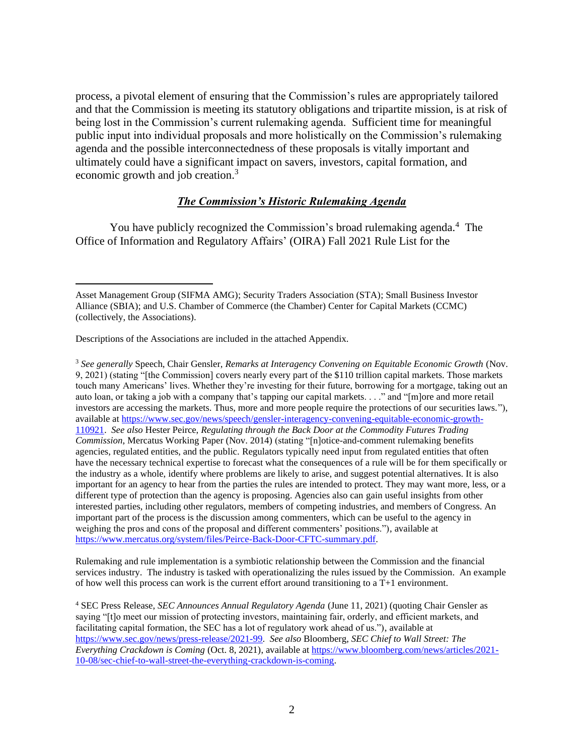process, a pivotal element of ensuring that the Commission's rules are appropriately tailored and that the Commission is meeting its statutory obligations and tripartite mission, is at risk of being lost in the Commission's current rulemaking agenda. Sufficient time for meaningful public input into individual proposals and more holistically on the Commission's rulemaking agenda and the possible interconnectedness of these proposals is vitally important and ultimately could have a significant impact on savers, investors, capital formation, and economic growth and job creation.<sup>3</sup>

#### *The Commission's Historic Rulemaking Agenda*

You have publicly recognized the Commission's broad rulemaking agenda.<sup>4</sup> The Office of Information and Regulatory Affairs' (OIRA) Fall 2021 Rule List for the

Descriptions of the Associations are included in the attached Appendix.

<sup>3</sup> *See generally* Speech, Chair Gensler, *Remarks at Interagency Convening on Equitable Economic Growth* (Nov. 9, 2021) (stating "[the Commission] covers nearly every part of the \$110 trillion capital markets. Those markets touch many Americans' lives. Whether they're investing for their future, borrowing for a mortgage, taking out an auto loan, or taking a job with a company that's tapping our capital markets. . . ." and "[m]ore and more retail investors are accessing the markets. Thus, more and more people require the protections of our securities laws."), available a[t https://www.sec.gov/news/speech/gensler-interagency-convening-equitable-economic-growth-](https://www.sec.gov/news/speech/gensler-interagency-convening-equitable-economic-growth-110921)[110921.](https://www.sec.gov/news/speech/gensler-interagency-convening-equitable-economic-growth-110921) *See also* Hester Peirce, *Regulating through the Back Door at the Commodity Futures Trading Commission*, Mercatus Working Paper (Nov. 2014) (stating "[n]otice-and-comment rulemaking benefits agencies, regulated entities, and the public. Regulators typically need input from regulated entities that often have the necessary technical expertise to forecast what the consequences of a rule will be for them specifically or the industry as a whole, identify where problems are likely to arise, and suggest potential alternatives. It is also important for an agency to hear from the parties the rules are intended to protect. They may want more, less, or a different type of protection than the agency is proposing. Agencies also can gain useful insights from other interested parties, including other regulators, members of competing industries, and members of Congress. An important part of the process is the discussion among commenters, which can be useful to the agency in weighing the pros and cons of the proposal and different commenters' positions."), available at [https://www.mercatus.org/system/files/Peirce-Back-Door-CFTC-summary.pdf.](https://www.mercatus.org/system/files/Peirce-Back-Door-CFTC-summary.pdf)

Rulemaking and rule implementation is a symbiotic relationship between the Commission and the financial services industry. The industry is tasked with operationalizing the rules issued by the Commission. An example of how well this process can work is the current effort around transitioning to a T+1 environment.

<sup>4</sup> SEC Press Release, *SEC Announces Annual Regulatory Agenda* (June 11, 2021) (quoting Chair Gensler as saying "[t]o meet our mission of protecting investors, maintaining fair, orderly, and efficient markets, and facilitating capital formation, the SEC has a lot of regulatory work ahead of us."), available at [https://www.sec.gov/news/press-release/2021-99.](https://www.sec.gov/news/press-release/2021-99) *See also* Bloomberg, *SEC Chief to Wall Street: The Everything Crackdown is Coming* (Oct. 8, 2021), available at [https://www.bloomberg.com/news/articles/2021-](https://www.bloomberg.com/news/articles/2021-10-08/sec-chief-to-wall-street-the-everything-crackdown-is-coming) [10-08/sec-chief-to-wall-street-the-everything-crackdown-is-coming.](https://www.bloomberg.com/news/articles/2021-10-08/sec-chief-to-wall-street-the-everything-crackdown-is-coming)

Asset Management Group (SIFMA AMG); Security Traders Association (STA); Small Business Investor Alliance (SBIA); and U.S. Chamber of Commerce (the Chamber) Center for Capital Markets (CCMC) (collectively, the Associations).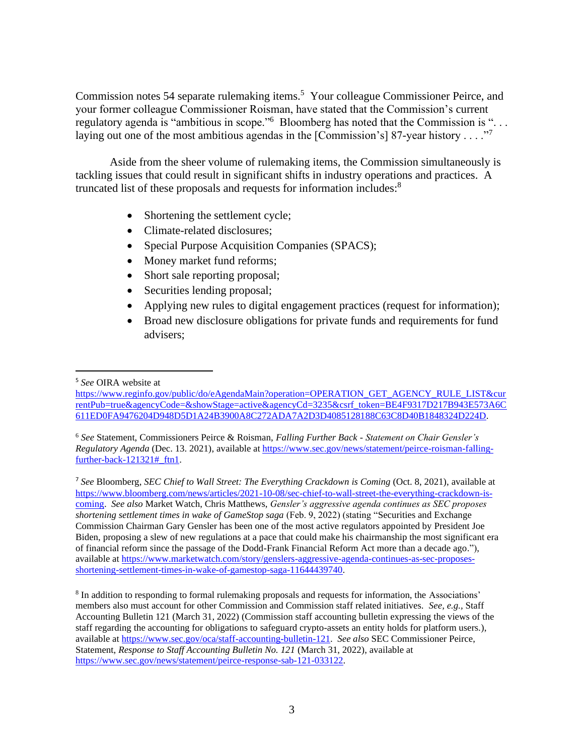Commission notes 54 separate rulemaking items.<sup>5</sup> Your colleague Commissioner Peirce, and your former colleague Commissioner Roisman, have stated that the Commission's current regulatory agenda is "ambitious in scope."<sup>6</sup> Bloomberg has noted that the Commission is "... laying out one of the most ambitious agendas in the [Commission's] 87-year history . . . ."<sup>7</sup>

Aside from the sheer volume of rulemaking items, the Commission simultaneously is tackling issues that could result in significant shifts in industry operations and practices. A truncated list of these proposals and requests for information includes:<sup>8</sup>

- Shortening the settlement cycle;
- Climate-related disclosures;
- Special Purpose Acquisition Companies (SPACS);
- Money market fund reforms;
- Short sale reporting proposal;
- Securities lending proposal;
- Applying new rules to digital engagement practices (request for information);
- Broad new disclosure obligations for private funds and requirements for fund advisers;

<sup>7</sup> *See* Bloomberg, *SEC Chief to Wall Street: The Everything Crackdown is Coming* (Oct. 8, 2021), available at [https://www.bloomberg.com/news/articles/2021-10-08/sec-chief-to-wall-street-the-everything-crackdown-is](https://www.bloomberg.com/news/articles/2021-10-08/sec-chief-to-wall-street-the-everything-crackdown-is-coming)[coming.](https://www.bloomberg.com/news/articles/2021-10-08/sec-chief-to-wall-street-the-everything-crackdown-is-coming) *See also* Market Watch, Chris Matthews, *Gensler's aggressive agenda continues as SEC proposes shortening settlement times in wake of GameStop saga* (Feb. 9, 2022) (stating "Securities and Exchange Commission Chairman Gary Gensler has been one of the most active regulators appointed by President Joe Biden, proposing a slew of new regulations at a pace that could make his chairmanship the most significant era of financial reform since the passage of the Dodd-Frank Financial Reform Act more than a decade ago."), available a[t https://www.marketwatch.com/story/genslers-aggressive-agenda-continues-as-sec-proposes](https://www.marketwatch.com/story/genslers-aggressive-agenda-continues-as-sec-proposes-shortening-settlement-times-in-wake-of-gamestop-saga-11644439740)[shortening-settlement-times-in-wake-of-gamestop-saga-11644439740.](https://www.marketwatch.com/story/genslers-aggressive-agenda-continues-as-sec-proposes-shortening-settlement-times-in-wake-of-gamestop-saga-11644439740)

<sup>8</sup> In addition to responding to formal rulemaking proposals and requests for information, the Associations' members also must account for other Commission and Commission staff related initiatives. *See, e.g.,* Staff Accounting Bulletin 121 (March 31, 2022) (Commission staff accounting bulletin expressing the views of the staff regarding the accounting for obligations to safeguard crypto-assets an entity holds for platform users.), available a[t https://www.sec.gov/oca/staff-accounting-bulletin-121.](https://www.sec.gov/oca/staff-accounting-bulletin-121) *See also* SEC Commissioner Peirce, Statement, *Response to Staff Accounting Bulletin No. 121* (March 31, 2022), available at [https://www.sec.gov/news/statement/peirce-response-sab-121-033122.](https://www.sec.gov/news/statement/peirce-response-sab-121-033122)

<sup>5</sup> *See* OIRA website at

[https://www.reginfo.gov/public/do/eAgendaMain?operation=OPERATION\\_GET\\_AGENCY\\_RULE\\_LIST&cur](https://www.reginfo.gov/public/do/eAgendaMain?operation=OPERATION_GET_AGENCY_RULE_LIST¤tPub=true&agencyCode=&showStage=active&agencyCd=3235&csrf_token=BE4F9317D217B943E573A6C611ED0FA9476204D948D5D1A24B3900A8C272ADA7A2D3D4085128188C63C8D40B1848324D224D) [rentPub=true&agencyCode=&showStage=active&agencyCd=3235&csrf\\_token=BE4F9317D217B943E573A6C](https://www.reginfo.gov/public/do/eAgendaMain?operation=OPERATION_GET_AGENCY_RULE_LIST¤tPub=true&agencyCode=&showStage=active&agencyCd=3235&csrf_token=BE4F9317D217B943E573A6C611ED0FA9476204D948D5D1A24B3900A8C272ADA7A2D3D4085128188C63C8D40B1848324D224D) [611ED0FA9476204D948D5D1A24B3900A8C272ADA7A2D3D4085128188C63C8D40B1848324D224D.](https://www.reginfo.gov/public/do/eAgendaMain?operation=OPERATION_GET_AGENCY_RULE_LIST¤tPub=true&agencyCode=&showStage=active&agencyCd=3235&csrf_token=BE4F9317D217B943E573A6C611ED0FA9476204D948D5D1A24B3900A8C272ADA7A2D3D4085128188C63C8D40B1848324D224D)

<sup>6</sup> *See* Statement, Commissioners Peirce & Roisman, *Falling Further Back - Statement on Chair Gensler's Regulatory Agenda* (Dec. 13. 2021), available at [https://www.sec.gov/news/statement/peirce-roisman-falling](https://www.sec.gov/news/statement/peirce-roisman-falling-further-back-121321#_ftn1)further-back-121321# ftn1.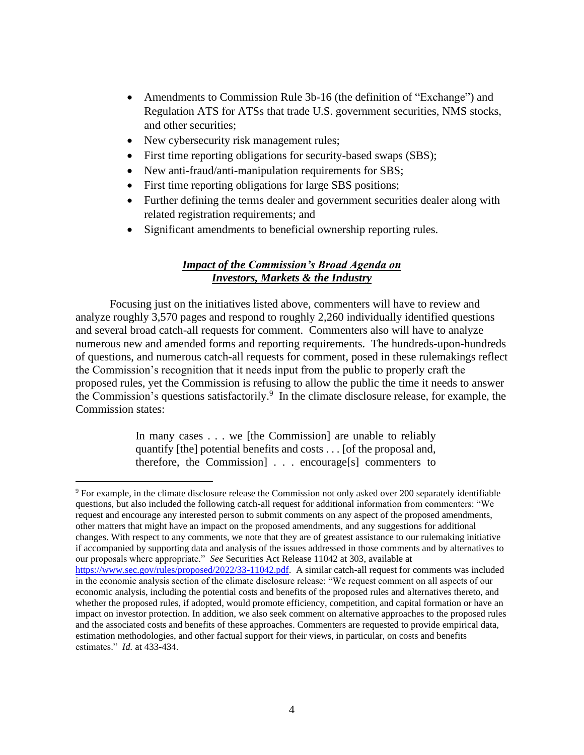- Amendments to Commission Rule 3b-16 (the definition of "Exchange") and Regulation ATS for ATSs that trade U.S. government securities, NMS stocks, and other securities;
- New cybersecurity risk management rules;
- First time reporting obligations for security-based swaps (SBS);
- New anti-fraud/anti-manipulation requirements for SBS;
- First time reporting obligations for large SBS positions;
- Further defining the terms dealer and government securities dealer along with related registration requirements; and
- Significant amendments to beneficial ownership reporting rules.

## *Impact of the Commission's Broad Agenda on Investors, Markets & the Industry*

Focusing just on the initiatives listed above, commenters will have to review and analyze roughly 3,570 pages and respond to roughly 2,260 individually identified questions and several broad catch-all requests for comment. Commenters also will have to analyze numerous new and amended forms and reporting requirements. The hundreds-upon-hundreds of questions, and numerous catch-all requests for comment, posed in these rulemakings reflect the Commission's recognition that it needs input from the public to properly craft the proposed rules, yet the Commission is refusing to allow the public the time it needs to answer the Commission's questions satisfactorily. 9 In the climate disclosure release, for example, the Commission states:

> In many cases . . . we [the Commission] are unable to reliably quantify [the] potential benefits and costs . . . [of the proposal and, therefore, the Commission] . . . encourage[s] commenters to

<sup>9</sup> For example, in the climate disclosure release the Commission not only asked over 200 separately identifiable questions, but also included the following catch-all request for additional information from commenters: "We request and encourage any interested person to submit comments on any aspect of the proposed amendments, other matters that might have an impact on the proposed amendments, and any suggestions for additional changes. With respect to any comments, we note that they are of greatest assistance to our rulemaking initiative if accompanied by supporting data and analysis of the issues addressed in those comments and by alternatives to our proposals where appropriate." *See* Securities Act Release 11042 at 303, available at [https://www.sec.gov/rules/proposed/2022/33-11042.pdf.](https://www.sec.gov/rules/proposed/2022/33-11042.pdf) A similar catch-all request for comments was included in the economic analysis section of the climate disclosure release: "We request comment on all aspects of our economic analysis, including the potential costs and benefits of the proposed rules and alternatives thereto, and whether the proposed rules, if adopted, would promote efficiency, competition, and capital formation or have an impact on investor protection. In addition, we also seek comment on alternative approaches to the proposed rules and the associated costs and benefits of these approaches. Commenters are requested to provide empirical data, estimation methodologies, and other factual support for their views, in particular, on costs and benefits estimates." *Id.* at 433-434.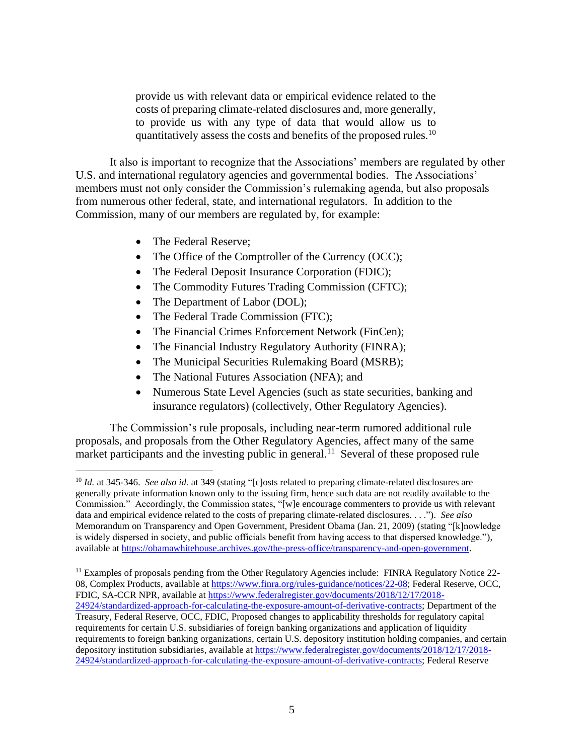provide us with relevant data or empirical evidence related to the costs of preparing climate-related disclosures and, more generally, to provide us with any type of data that would allow us to quantitatively assess the costs and benefits of the proposed rules.<sup>10</sup>

It also is important to recognize that the Associations' members are regulated by other U.S. and international regulatory agencies and governmental bodies. The Associations' members must not only consider the Commission's rulemaking agenda, but also proposals from numerous other federal, state, and international regulators. In addition to the Commission, many of our members are regulated by, for example:

- The Federal Reserve;
- The Office of the Comptroller of the Currency (OCC);
- The Federal Deposit Insurance Corporation (FDIC);
- The Commodity Futures Trading Commission (CFTC);
- The Department of Labor (DOL);
- The Federal Trade Commission (FTC);
- The Financial Crimes Enforcement Network (FinCen);
- The Financial Industry Regulatory Authority (FINRA);
- The Municipal Securities Rulemaking Board (MSRB);
- The National Futures Association (NFA); and
- Numerous State Level Agencies (such as state securities, banking and insurance regulators) (collectively, Other Regulatory Agencies).

The Commission's rule proposals, including near-term rumored additional rule proposals, and proposals from the Other Regulatory Agencies, affect many of the same market participants and the investing public in general.<sup>11</sup> Several of these proposed rule

<sup>11</sup> Examples of proposals pending from the Other Regulatory Agencies include: FINRA Regulatory Notice 2208, Complex Products, available a[t https://www.finra.org/rules-guidance/notices/22-08;](https://www.finra.org/rules-guidance/notices/22-08) Federal Reserve, OCC, FDIC, SA-CCR NPR, available at [https://www.federalregister.gov/documents/2018/12/17/2018-](https://www.federalregister.gov/documents/2018/12/17/2018-24924/standardized-approach-for-calculating-the-exposure-amount-of-derivative-contracts) [24924/standardized-approach-for-calculating-the-exposure-amount-of-derivative-contracts;](https://www.federalregister.gov/documents/2018/12/17/2018-24924/standardized-approach-for-calculating-the-exposure-amount-of-derivative-contracts) Department of the Treasury, Federal Reserve, OCC, FDIC, Proposed changes to applicability thresholds for regulatory capital requirements for certain U.S. subsidiaries of foreign banking organizations and application of liquidity requirements to foreign banking organizations, certain U.S. depository institution holding companies, and certain depository institution subsidiaries, available a[t https://www.federalregister.gov/documents/2018/12/17/2018-](https://www.federalregister.gov/documents/2018/12/17/2018-24924/standardized-approach-for-calculating-the-exposure-amount-of-derivative-contracts) [24924/standardized-approach-for-calculating-the-exposure-amount-of-derivative-contracts;](https://www.federalregister.gov/documents/2018/12/17/2018-24924/standardized-approach-for-calculating-the-exposure-amount-of-derivative-contracts) Federal Reserve

<sup>&</sup>lt;sup>10</sup> *Id.* at 345-346. *See also id.* at 349 (stating "[c]osts related to preparing climate-related disclosures are generally private information known only to the issuing firm, hence such data are not readily available to the Commission." Accordingly, the Commission states, "[w]e encourage commenters to provide us with relevant data and empirical evidence related to the costs of preparing climate-related disclosures. . . ."). *See also*  Memorandum on Transparency and Open Government, President Obama (Jan. 21, 2009) (stating "[k]nowledge is widely dispersed in society, and public officials benefit from having access to that dispersed knowledge."), available a[t https://obamawhitehouse.archives.gov/the-press-office/transparency-and-open-government.](https://obamawhitehouse.archives.gov/the-press-office/transparency-and-open-government)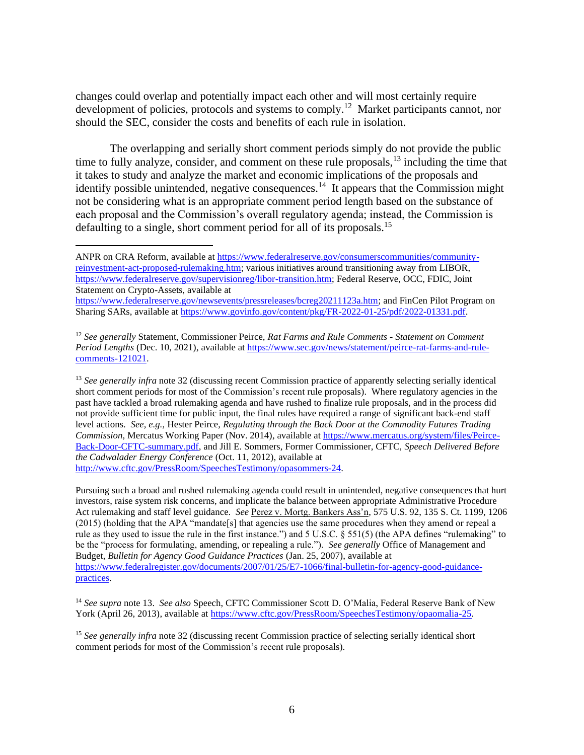changes could overlap and potentially impact each other and will most certainly require development of policies, protocols and systems to comply.<sup>12</sup> Market participants cannot, nor should the SEC, consider the costs and benefits of each rule in isolation.

The overlapping and serially short comment periods simply do not provide the public time to fully analyze, consider, and comment on these rule proposals,  $^{13}$  including the time that it takes to study and analyze the market and economic implications of the proposals and identify possible unintended, negative consequences.<sup>14</sup> It appears that the Commission might not be considering what is an appropriate comment period length based on the substance of each proposal and the Commission's overall regulatory agenda; instead, the Commission is defaulting to a single, short comment period for all of its proposals.<sup>15</sup>

<sup>13</sup> *See generally infra* note 32 (discussing recent Commission practice of apparently selecting serially identical short comment periods for most of the Commission's recent rule proposals). Where regulatory agencies in the past have tackled a broad rulemaking agenda and have rushed to finalize rule proposals, and in the process did not provide sufficient time for public input, the final rules have required a range of significant back-end staff level actions. *See, e.g.,* Hester Peirce, *Regulating through the Back Door at the Commodity Futures Trading Commission*, Mercatus Working Paper (Nov. 2014), available at [https://www.mercatus.org/system/files/Peirce-](https://www.mercatus.org/system/files/Peirce-Back-Door-CFTC-summary.pdf)[Back-Door-CFTC-summary.pdf,](https://www.mercatus.org/system/files/Peirce-Back-Door-CFTC-summary.pdf) and Jill E. Sommers, Former Commissioner, CFTC, *Speech Delivered Before the Cadwalader Energy Conference* (Oct. 11, 2012), available at [http://www.cftc.gov/PressRoom/SpeechesTestimony/opasommers-24.](http://www.cftc.gov/PressRoom/SpeechesTestimony/opasommers-24)

Pursuing such a broad and rushed rulemaking agenda could result in unintended, negative consequences that hurt investors, raise system risk concerns, and implicate the balance between appropriate Administrative Procedure Act rulemaking and staff level guidance. *See* Perez v. Mortg. Bankers Ass'n, 575 U.S. 92, 135 S. Ct. 1199, 1206 (2015) (holding that the APA "mandate[s] that agencies use the same procedures when they amend or repeal a rule as they used to issue the rule in the first instance.") and 5 U.S.C. § 551(5) (the APA defines "rulemaking" to be the "process for formulating, amending, or repealing a rule."). *See generally* Office of Management and Budget, *Bulletin for Agency Good Guidance Practices* (Jan. 25, 2007), available at [https://www.federalregister.gov/documents/2007/01/25/E7-1066/final-bulletin-for-agency-good-guidance](https://www.federalregister.gov/documents/2007/01/25/E7-1066/final-bulletin-for-agency-good-guidance-practices)[practices.](https://www.federalregister.gov/documents/2007/01/25/E7-1066/final-bulletin-for-agency-good-guidance-practices)

<sup>14</sup> *See supra* note 13. *See also* Speech, CFTC Commissioner Scott D. O'Malia, Federal Reserve Bank of New York (April 26, 2013), available at [https://www.cftc.gov/PressRoom/SpeechesTestimony/opaomalia-25.](https://www.cftc.gov/PressRoom/SpeechesTestimony/opaomalia-25)

<sup>15</sup> See generally infra note 32 (discussing recent Commission practice of selecting serially identical short comment periods for most of the Commission's recent rule proposals).

ANPR on CRA Reform, available at [https://www.federalreserve.gov/consumerscommunities/community](https://www.federalreserve.gov/consumerscommunities/community-reinvestment-act-proposed-rulemaking.htm)[reinvestment-act-proposed-rulemaking.htm;](https://www.federalreserve.gov/consumerscommunities/community-reinvestment-act-proposed-rulemaking.htm) various initiatives around transitioning away from LIBOR, [https://www.federalreserve.gov/supervisionreg/libor-transition.htm;](https://www.federalreserve.gov/supervisionreg/libor-transition.htm) Federal Reserve, OCC, FDIC, Joint Statement on Crypto-Assets, available at

[https://www.federalreserve.gov/newsevents/pressreleases/bcreg20211123a.htm;](https://www.federalreserve.gov/newsevents/pressreleases/bcreg20211123a.htm) and FinCen Pilot Program on Sharing SARs, available at [https://www.govinfo.gov/content/pkg/FR-2022-01-25/pdf/2022-01331.pdf.](https://www.govinfo.gov/content/pkg/FR-2022-01-25/pdf/2022-01331.pdf)

<sup>12</sup> *See generally* Statement, Commissioner Peirce, *Rat Farms and Rule Comments - Statement on Comment Period Lengths* (Dec. 10, 2021), available at [https://www.sec.gov/news/statement/peirce-rat-farms-and-rule](https://www.sec.gov/news/statement/peirce-rat-farms-and-rule-comments-121021)[comments-121021.](https://www.sec.gov/news/statement/peirce-rat-farms-and-rule-comments-121021)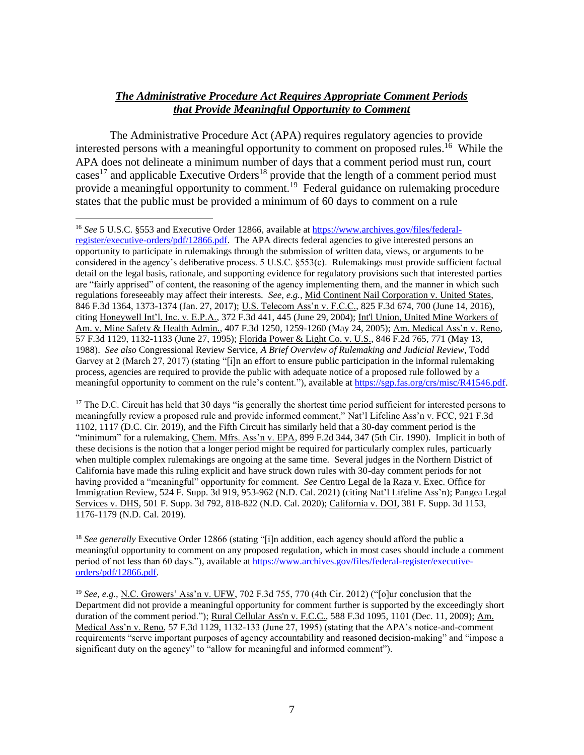## *The Administrative Procedure Act Requires Appropriate Comment Periods that Provide Meaningful Opportunity to Comment*

The Administrative Procedure Act (APA) requires regulatory agencies to provide interested persons with a meaningful opportunity to comment on proposed rules.<sup>16</sup> While the APA does not delineate a minimum number of days that a comment period must run, court cases<sup>17</sup> and applicable Executive Orders<sup>18</sup> provide that the length of a comment period must provide a meaningful opportunity to comment.<sup>19</sup> Federal guidance on rulemaking procedure states that the public must be provided a minimum of 60 days to comment on a rule

 $17$  The D.C. Circuit has held that 30 days "is generally the shortest time period sufficient for interested persons to meaningfully review a proposed rule and provide informed comment," Nat'l Lifeline Ass'n v. FCC, 921 F.3d 1102, 1117 (D.C. Cir. 2019), and the Fifth Circuit has similarly held that a 30-day comment period is the "minimum" for a rulemaking, Chem. Mfrs. Ass'n v. EPA, 899 F.2d 344, 347 (5th Cir. 1990). Implicit in both of these decisions is the notion that a longer period might be required for particularly complex rules, particuarly when multiple complex rulemakings are ongoing at the same time. Several judges in the Northern District of California have made this ruling explicit and have struck down rules with 30-day comment periods for not having provided a "meaningful" opportunity for comment. *See* Centro Legal de la Raza v. Exec. Office for Immigration Review, 524 F. Supp. 3d 919, 953-962 (N.D. Cal. 2021) (citing Nat'l Lifeline Ass'n); Pangea Legal Services v. DHS, 501 F. Supp. 3d 792, 818-822 (N.D. Cal. 2020); California v. DOI, 381 F. Supp. 3d 1153, 1176-1179 (N.D. Cal. 2019).

<sup>18</sup> See generally Executive Order 12866 (stating "[i]n addition, each agency should afford the public a meaningful opportunity to comment on any proposed regulation, which in most cases should include a comment period of not less than 60 days."), available at [https://www.archives.gov/files/federal-register/executive](https://www.archives.gov/files/federal-register/executive-orders/pdf/12866.pdf)[orders/pdf/12866.pdf.](https://www.archives.gov/files/federal-register/executive-orders/pdf/12866.pdf)

<sup>19</sup> *See, e.g.,* N.C. Growers' Ass'n v. UFW, 702 F.3d 755, 770 (4th Cir. 2012) ("[o]ur conclusion that the Department did not provide a meaningful opportunity for comment further is supported by the exceedingly short duration of the comment period."); Rural Cellular Ass'n v. F.C.C., 588 F.3d 1095, 1101 (Dec. 11, 2009); Am. Medical Ass'n v. Reno, 57 F.3d 1129, 1132-133 (June 27, 1995) (stating that the APA's notice-and-comment requirements "serve important purposes of agency accountability and reasoned decision-making" and "impose a significant duty on the agency" to "allow for meaningful and informed comment").

<sup>16</sup> *See* 5 U.S.C. §553 and Executive Order 12866, available a[t https://www.archives.gov/files/federal](https://www.archives.gov/files/federal-register/executive-orders/pdf/12866.pdf)[register/executive-orders/pdf/12866.pdf.](https://www.archives.gov/files/federal-register/executive-orders/pdf/12866.pdf) The APA directs federal agencies to give interested persons an opportunity to participate in rulemakings through the submission of written data, views, or arguments to be considered in the agency's deliberative process. 5 U.S.C. §553(c). Rulemakings must provide sufficient factual detail on the legal basis, rationale, and supporting evidence for regulatory provisions such that interested parties are "fairly apprised" of content, the reasoning of the agency implementing them, and the manner in which such regulations foreseeably may affect their interests. *See, e.g.,* Mid Continent Nail Corporation v. United States, 846 F.3d 1364, 1373-1374 (Jan. 27, 2017); U.S. Telecom Ass'n v. F.C.C., 825 F.3d 674, 700 (June 14, 2016), citing Honeywell Int'l, Inc. v. E.P.A., 372 F.3d 441, 445 (June 29, 2004); Int'l Union, United Mine Workers of Am. v. Mine Safety & Health Admin., 407 F.3d 1250, 1259-1260 (May 24, 2005); Am. Medical Ass'n v. Reno, 57 F.3d 1129, 1132-1133 (June 27, 1995); Florida Power & Light Co. v. U.S., 846 F.2d 765, 771 (May 13, 1988). *See also* Congressional Review Service, *A Brief Overview of Rulemaking and Judicial Review*, Todd Garvey at 2 (March 27, 2017) (stating "[i]n an effort to ensure public participation in the informal rulemaking process, agencies are required to provide the public with adequate notice of a proposed rule followed by a meaningful opportunity to comment on the rule's content."), available at [https://sgp.fas.org/crs/misc/R41546.pdf.](https://sgp.fas.org/crs/misc/R41546.pdf)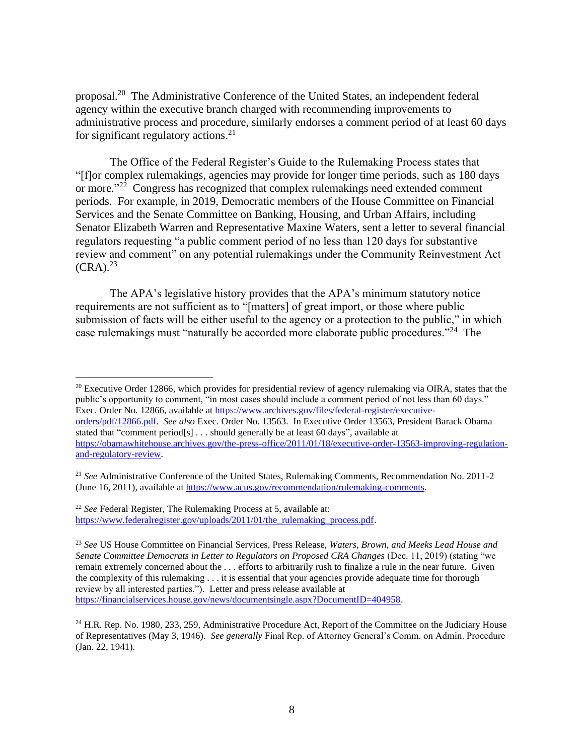proposal.<sup>20</sup> The Administrative Conference of the United States, an independent federal agency within the executive branch charged with recommending improvements to administrative process and procedure, similarly endorses a comment period of at least 60 days for significant regulatory actions.<sup>21</sup>

The Office of the Federal Register's Guide to the Rulemaking Process states that "[f]or complex rulemakings, agencies may provide for longer time periods, such as 180 days or more."<sup>22</sup> Congress has recognized that complex rulemakings need extended comment periods. For example, in 2019, Democratic members of the House Committee on Financial Services and the Senate Committee on Banking, Housing, and Urban Affairs, including Senator Elizabeth Warren and Representative Maxine Waters, sent a letter to several financial regulators requesting "a public comment period of no less than 120 days for substantive review and comment" on any potential rulemakings under the Community Reinvestment Act  $(CRA).<sup>23</sup>$ 

The APA's legislative history provides that the APA's minimum statutory notice requirements are not sufficient as to "[matters] of great import, or those where public submission of facts will be either useful to the agency or a protection to the public," in which case rulemakings must "naturally be accorded more elaborate public procedures."<sup>24</sup> The

<sup>20</sup> Executive Order 12866, which provides for presidential review of agency rulemaking via OIRA, states that the public's opportunity to comment, "in most cases should include a comment period of not less than 60 days." Exec. Order No. 12866, available a[t https://www.archives.gov/files/federal-register/executive](https://www.archives.gov/files/federal-register/executive-orders/pdf/12866.pdf)[orders/pdf/12866.pdf.](https://www.archives.gov/files/federal-register/executive-orders/pdf/12866.pdf) *See also* Exec. Order No. 13563. In Executive Order 13563, President Barack Obama stated that "comment period[s] . . . should generally be at least 60 days", available at [https://obamawhitehouse.archives.gov/the-press-office/2011/01/18/executive-order-13563-improving-regulation](https://obamawhitehouse.archives.gov/the-press-office/2011/01/18/executive-order-13563-improving-regulation-and-regulatory-review)[and-regulatory-review.](https://obamawhitehouse.archives.gov/the-press-office/2011/01/18/executive-order-13563-improving-regulation-and-regulatory-review)

<sup>21</sup> *See* Administrative Conference of the United States, Rulemaking Comments, Recommendation No. 2011-2 (June 16, 2011), available at [https://www.acus.gov/recommendation/rulemaking-comments.](https://www.acus.gov/recommendation/rulemaking-comments)

<sup>22</sup> *See* Federal Register, The Rulemaking Process at 5, available at: [https://www.federalregister.gov/uploads/2011/01/the\\_rulemaking\\_process.pdf.](https://www.federalregister.gov/uploads/2011/01/the_rulemaking_process.pdf)

<sup>23</sup> *See* US House Committee on Financial Services, Press Release, *Waters, Brown, and Meeks Lead House and Senate Committee Democrats in Letter to Regulators on Proposed CRA Changes* (Dec. 11, 2019) (stating "we remain extremely concerned about the . . . efforts to arbitrarily rush to finalize a rule in the near future. Given the complexity of this rulemaking . . . it is essential that your agencies provide adequate time for thorough review by all interested parties."). Letter and press release available at [https://financialservices.house.gov/news/documentsingle.aspx?DocumentID=404958.](https://financialservices.house.gov/news/documentsingle.aspx?DocumentID=404958)

<sup>&</sup>lt;sup>24</sup> H.R. Rep. No. 1980, 233, 259, Administrative Procedure Act, Report of the Committee on the Judiciary House of Representatives (May 3, 1946). *See generally* Final Rep. of Attorney General's Comm. on Admin. Procedure (Jan. 22, 1941).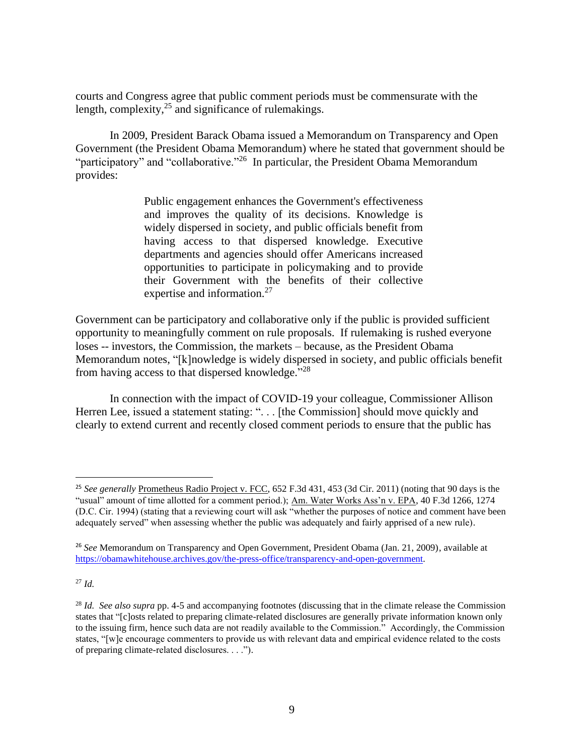courts and Congress agree that public comment periods must be commensurate with the length, complexity,<sup>25</sup> and significance of rulemakings.

In 2009, President Barack Obama issued a Memorandum on Transparency and Open Government (the President Obama Memorandum) where he stated that government should be "participatory" and "collaborative."<sup>26</sup> In particular, the President Obama Memorandum provides:

> Public engagement enhances the Government's effectiveness and improves the quality of its decisions. Knowledge is widely dispersed in society, and public officials benefit from having access to that dispersed knowledge. Executive departments and agencies should offer Americans increased opportunities to participate in policymaking and to provide their Government with the benefits of their collective expertise and information.<sup>27</sup>

Government can be participatory and collaborative only if the public is provided sufficient opportunity to meaningfully comment on rule proposals. If rulemaking is rushed everyone loses -- investors, the Commission, the markets – because, as the President Obama Memorandum notes, "[k]nowledge is widely dispersed in society, and public officials benefit from having access to that dispersed knowledge."<sup>28</sup>

In connection with the impact of COVID-19 your colleague, Commissioner Allison Herren Lee, issued a statement stating: ". . . [the Commission] should move quickly and clearly to extend current and recently closed comment periods to ensure that the public has

<sup>27</sup> *Id.*

<sup>25</sup> *See generally* Prometheus Radio Project v. FCC, 652 F.3d 431, 453 (3d Cir. 2011) (noting that 90 days is the "usual" amount of time allotted for a comment period.); Am. Water Works Ass'n v. EPA, 40 F.3d 1266, 1274 (D.C. Cir. 1994) (stating that a reviewing court will ask "whether the purposes of notice and comment have been adequately served" when assessing whether the public was adequately and fairly apprised of a new rule).

<sup>26</sup> *See* Memorandum on Transparency and Open Government, President Obama (Jan. 21, 2009), available at [https://obamawhitehouse.archives.gov/the-press-office/transparency-and-open-government.](https://obamawhitehouse.archives.gov/the-press-office/transparency-and-open-government)

<sup>&</sup>lt;sup>28</sup> *Id. See also supra* pp. 4-5 and accompanying footnotes (discussing that in the climate release the Commission states that "[c]osts related to preparing climate-related disclosures are generally private information known only to the issuing firm, hence such data are not readily available to the Commission." Accordingly, the Commission states, "[w]e encourage commenters to provide us with relevant data and empirical evidence related to the costs of preparing climate-related disclosures. . . .").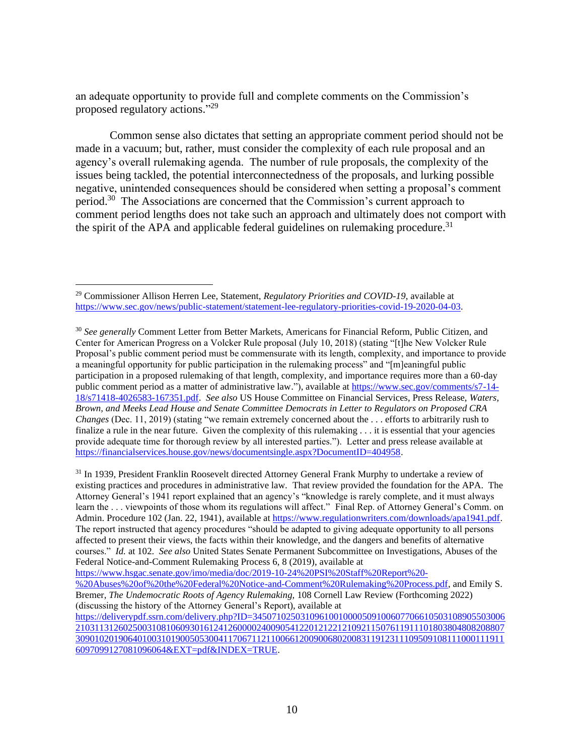an adequate opportunity to provide full and complete comments on the Commission's proposed regulatory actions."<sup>29</sup>

Common sense also dictates that setting an appropriate comment period should not be made in a vacuum; but, rather, must consider the complexity of each rule proposal and an agency's overall rulemaking agenda. The number of rule proposals, the complexity of the issues being tackled, the potential interconnectedness of the proposals, and lurking possible negative, unintended consequences should be considered when setting a proposal's comment period.<sup>30</sup> The Associations are concerned that the Commission's current approach to comment period lengths does not take such an approach and ultimately does not comport with the spirit of the APA and applicable federal guidelines on rulemaking procedure.<sup>31</sup>

<sup>31</sup> In 1939, President Franklin Roosevelt directed Attorney General Frank Murphy to undertake a review of existing practices and procedures in administrative law. That review provided the foundation for the APA. The Attorney General's 1941 report explained that an agency's "knowledge is rarely complete, and it must always learn the . . . viewpoints of those whom its regulations will affect." Final Rep. of Attorney General's Comm. on Admin. Procedure 102 (Jan. 22, 1941), available at [https://www.regulationwriters.com/downloads/apa1941.pdf.](https://www.regulationwriters.com/downloads/apa1941.pdf) The report instructed that agency procedures "should be adapted to giving adequate opportunity to all persons affected to present their views, the facts within their knowledge, and the dangers and benefits of alternative courses." *Id.* at 102. *See also* United States Senate Permanent Subcommittee on Investigations, Abuses of the Federal Notice-and-Comment Rulemaking Process 6, 8 (2019), available at

[https://www.hsgac.senate.gov/imo/media/doc/2019-10-24%20PSI%20Staff%20Report%20-](https://www.hsgac.senate.gov/imo/media/doc/2019-10-24%20PSI%20Staff%20Report%20-%20Abuses%20of%20the%20Federal%20Notice-and-Comment%20Rulemaking%20Process.pdf)

<sup>29</sup> Commissioner Allison Herren Lee, Statement, *Regulatory Priorities and COVID-19*, available at [https://www.sec.gov/news/public-statement/statement-lee-regulatory-priorities-covid-19-2020-04-03.](https://www.sec.gov/news/public-statement/statement-lee-regulatory-priorities-covid-19-2020-04-03)

<sup>30</sup> *See generally* Comment Letter from Better Markets, Americans for Financial Reform, Public Citizen, and Center for American Progress on a Volcker Rule proposal (July 10, 2018) (stating "[t]he New Volcker Rule Proposal's public comment period must be commensurate with its length, complexity, and importance to provide a meaningful opportunity for public participation in the rulemaking process" and "[m]eaningful public participation in a proposed rulemaking of that length, complexity, and importance requires more than a 60-day public comment period as a matter of administrative law."), available at [https://www.sec.gov/comments/s7-14-](https://www.sec.gov/comments/s7-14-18/s71418-4026583-167351.pdf) [18/s71418-4026583-167351.pdf.](https://www.sec.gov/comments/s7-14-18/s71418-4026583-167351.pdf) *See also* US House Committee on Financial Services, Press Release, *Waters, Brown, and Meeks Lead House and Senate Committee Democrats in Letter to Regulators on Proposed CRA Changes* (Dec. 11, 2019) (stating "we remain extremely concerned about the ... efforts to arbitrarily rush to finalize a rule in the near future. Given the complexity of this rulemaking . . . it is essential that your agencies provide adequate time for thorough review by all interested parties."). Letter and press release available at [https://financialservices.house.gov/news/documentsingle.aspx?DocumentID=404958.](https://financialservices.house.gov/news/documentsingle.aspx?DocumentID=404958)

[<sup>%20</sup>Abuses%20of%20the%20Federal%20Notice-and-Comment%20Rulemaking%20Process.pdf,](https://www.hsgac.senate.gov/imo/media/doc/2019-10-24%20PSI%20Staff%20Report%20-%20Abuses%20of%20the%20Federal%20Notice-and-Comment%20Rulemaking%20Process.pdf) and Emily S. Bremer, *The Undemocratic Roots of Agency Rulemaking,* 108 Cornell Law Review (Forthcoming 2022) (discussing the history of the Attorney General's Report), available at

[https://deliverypdf.ssrn.com/delivery.php?ID=34507102503109610010000509100607706610503108905503006](https://deliverypdf.ssrn.com/delivery.php?ID=345071025031096100100005091006077066105031089055030062103113126025003108106093016124126000024009054122012122121092115076119111018038048082088073090102019064010031019005053004117067112110066120090068020083119123111095091081110001119116097099127081096064&EXT=pdf&INDEX=TRUE) [210311312602500310810609301612412600002400905412201212212109211507611911101803804808208807](https://deliverypdf.ssrn.com/delivery.php?ID=345071025031096100100005091006077066105031089055030062103113126025003108106093016124126000024009054122012122121092115076119111018038048082088073090102019064010031019005053004117067112110066120090068020083119123111095091081110001119116097099127081096064&EXT=pdf&INDEX=TRUE) [309010201906401003101900505300411706711211006612009006802008311912311109509108111000111911](https://deliverypdf.ssrn.com/delivery.php?ID=345071025031096100100005091006077066105031089055030062103113126025003108106093016124126000024009054122012122121092115076119111018038048082088073090102019064010031019005053004117067112110066120090068020083119123111095091081110001119116097099127081096064&EXT=pdf&INDEX=TRUE) [6097099127081096064&EXT=pdf&INDEX=TRUE.](https://deliverypdf.ssrn.com/delivery.php?ID=345071025031096100100005091006077066105031089055030062103113126025003108106093016124126000024009054122012122121092115076119111018038048082088073090102019064010031019005053004117067112110066120090068020083119123111095091081110001119116097099127081096064&EXT=pdf&INDEX=TRUE)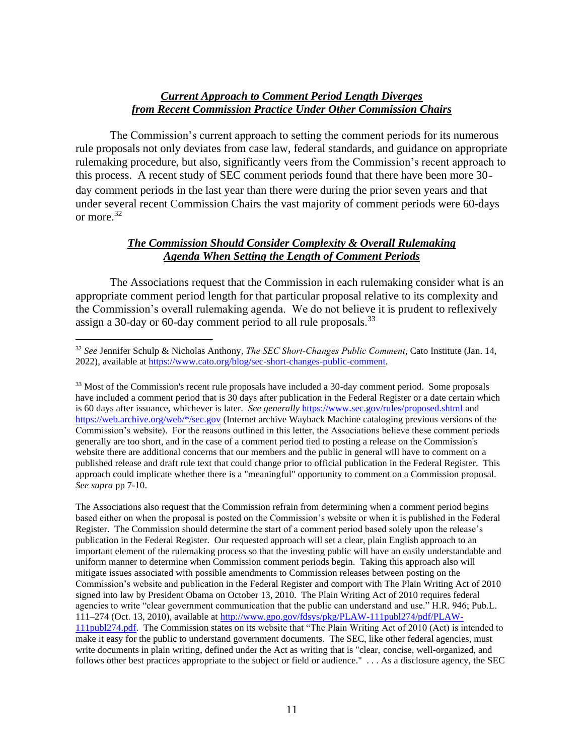#### *Current Approach to Comment Period Length Diverges from Recent Commission Practice Under Other Commission Chairs*

The Commission's current approach to setting the comment periods for its numerous rule proposals not only deviates from case law, federal standards, and guidance on appropriate rulemaking procedure, but also, significantly veers from the Commission's recent approach to this process. A recent study of SEC comment periods found that there have been more 30‐ day comment periods in the last year than there were during the prior seven years and that under several recent Commission Chairs the vast majority of comment periods were 60-days or more.<sup>32</sup>

## *The Commission Should Consider Complexity & Overall Rulemaking Agenda When Setting the Length of Comment Periods*

The Associations request that the Commission in each rulemaking consider what is an appropriate comment period length for that particular proposal relative to its complexity and the Commission's overall rulemaking agenda. We do not believe it is prudent to reflexively assign a 30-day or 60-day comment period to all rule proposals.<sup>33</sup>

The Associations also request that the Commission refrain from determining when a comment period begins based either on when the proposal is posted on the Commission's website or when it is published in the Federal Register. The Commission should determine the start of a comment period based solely upon the release's publication in the Federal Register. Our requested approach will set a clear, plain English approach to an important element of the rulemaking process so that the investing public will have an easily understandable and uniform manner to determine when Commission comment periods begin. Taking this approach also will mitigate issues associated with possible amendments to Commission releases between posting on the Commission's website and publication in the Federal Register and comport with The Plain Writing Act of 2010 signed into law by President Obama on October 13, 2010. The Plain Writing Act of 2010 requires federal agencies to write "clear government communication that the public can understand and use." H.R. 946; Pub.L. 111–274 (Oct. 13, 2010), available at [http://www.gpo.gov/fdsys/pkg/PLAW-111publ274/pdf/PLAW-](http://www.gpo.gov/fdsys/pkg/PLAW-111publ274/pdf/PLAW-111publ274.pdf)[111publ274.pdf.](http://www.gpo.gov/fdsys/pkg/PLAW-111publ274/pdf/PLAW-111publ274.pdf) The Commission states on its website that "The Plain Writing Act of 2010 (Act) is intended to make it easy for the public to understand government documents. The SEC, like other federal agencies, must write documents in plain writing, defined under the Act as writing that is "clear, concise, well-organized, and follows other best practices appropriate to the subject or field or audience." . . . As a disclosure agency, the SEC

<sup>32</sup> *See* Jennifer Schulp & Nicholas Anthony, *The SEC Short‐Changes Public Comment*, Cato Institute (Jan. 14, 2022), available at [https://www.cato.org/blog/sec-short-changes-public-comment.](https://www.cato.org/blog/sec-short-changes-public-comment)

<sup>&</sup>lt;sup>33</sup> Most of the Commission's recent rule proposals have included a 30-day comment period. Some proposals have included a comment period that is 30 days after publication in the Federal Register or a date certain which is 60 days after issuance, whichever is later. *See generally* <https://www.sec.gov/rules/proposed.shtml> and [https://web.archive.org/web/\\*/sec.gov](https://web.archive.org/web/*/sec.gov) (Internet archive Wayback Machine cataloging previous versions of the Commission's website). For the reasons outlined in this letter, the Associations believe these comment periods generally are too short, and in the case of a comment period tied to posting a release on the Commission's website there are additional concerns that our members and the public in general will have to comment on a published release and draft rule text that could change prior to official publication in the Federal Register. This approach could implicate whether there is a "meaningful" opportunity to comment on a Commission proposal. *See supra* pp 7-10.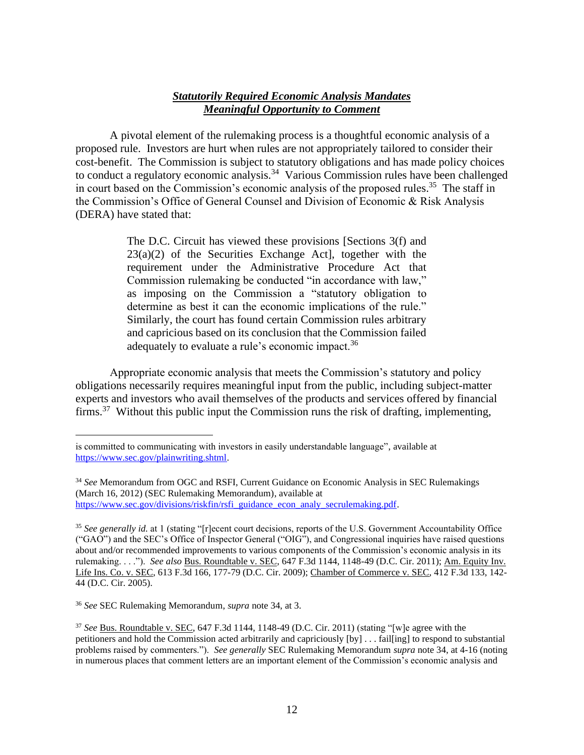#### *Statutorily Required Economic Analysis Mandates Meaningful Opportunity to Comment*

A pivotal element of the rulemaking process is a thoughtful economic analysis of a proposed rule. Investors are hurt when rules are not appropriately tailored to consider their cost-benefit. The Commission is subject to statutory obligations and has made policy choices to conduct a regulatory economic analysis.<sup>34</sup> Various Commission rules have been challenged in court based on the Commission's economic analysis of the proposed rules.<sup>35</sup> The staff in the Commission's Office of General Counsel and Division of Economic & Risk Analysis (DERA) have stated that:

> The D.C. Circuit has viewed these provisions [Sections 3(f) and  $23(a)(2)$  of the Securities Exchange Act], together with the requirement under the Administrative Procedure Act that Commission rulemaking be conducted "in accordance with law," as imposing on the Commission a "statutory obligation to determine as best it can the economic implications of the rule." Similarly, the court has found certain Commission rules arbitrary and capricious based on its conclusion that the Commission failed adequately to evaluate a rule's economic impact.<sup>36</sup>

Appropriate economic analysis that meets the Commission's statutory and policy obligations necessarily requires meaningful input from the public, including subject-matter experts and investors who avail themselves of the products and services offered by financial firms.<sup>37</sup> Without this public input the Commission runs the risk of drafting, implementing,

is committed to communicating with investors in easily understandable language", available at [https://www.sec.gov/plainwriting.shtml.](https://www.sec.gov/plainwriting.shtml)

<sup>34</sup> *See* Memorandum from OGC and RSFI, Current Guidance on Economic Analysis in SEC Rulemakings (March 16, 2012) (SEC Rulemaking Memorandum), available at [https://www.sec.gov/divisions/riskfin/rsfi\\_guidance\\_econ\\_analy\\_secrulemaking.pdf.](https://www.sec.gov/divisions/riskfin/rsfi_guidance_econ_analy_secrulemaking.pdf)

<sup>35</sup> *See generally id.* at 1 (stating "[r]ecent court decisions, reports of the U.S. Government Accountability Office ("GAO") and the SEC's Office of Inspector General ("OIG"), and Congressional inquiries have raised questions about and/or recommended improvements to various components of the Commission's economic analysis in its rulemaking. . . ."). *See also* Bus. Roundtable v. SEC, 647 F.3d 1144, 1148-49 (D.C. Cir. 2011); Am. Equity Inv. Life Ins. Co. v. SEC, 613 F.3d 166, 177-79 (D.C. Cir. 2009); Chamber of Commerce v. SEC, 412 F.3d 133, 142- 44 (D.C. Cir. 2005).

<sup>36</sup> *See* SEC Rulemaking Memorandum, *supra* note 34, at 3.

<sup>37</sup> *See* Bus. Roundtable v. SEC, 647 F.3d 1144, 1148-49 (D.C. Cir. 2011) (stating "[w]e agree with the petitioners and hold the Commission acted arbitrarily and capriciously [by] . . . fail[ing] to respond to substantial problems raised by commenters."). *See generally* SEC Rulemaking Memorandum *supra* note 34, at 4-16 (noting in numerous places that comment letters are an important element of the Commission's economic analysis and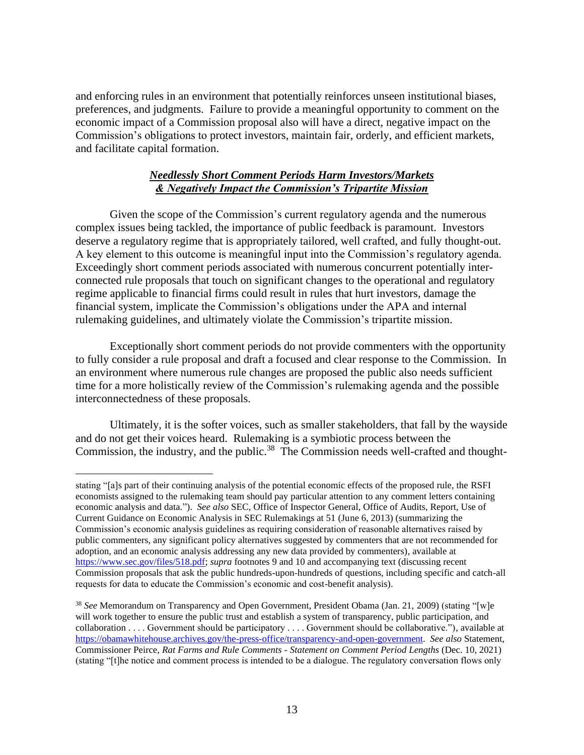and enforcing rules in an environment that potentially reinforces unseen institutional biases, preferences, and judgments. Failure to provide a meaningful opportunity to comment on the economic impact of a Commission proposal also will have a direct, negative impact on the Commission's obligations to protect investors, maintain fair, orderly, and efficient markets, and facilitate capital formation.

## *Needlessly Short Comment Periods Harm Investors/Markets & Negatively Impact the Commission's Tripartite Mission*

Given the scope of the Commission's current regulatory agenda and the numerous complex issues being tackled, the importance of public feedback is paramount. Investors deserve a regulatory regime that is appropriately tailored, well crafted, and fully thought-out. A key element to this outcome is meaningful input into the Commission's regulatory agenda. Exceedingly short comment periods associated with numerous concurrent potentially interconnected rule proposals that touch on significant changes to the operational and regulatory regime applicable to financial firms could result in rules that hurt investors, damage the financial system, implicate the Commission's obligations under the APA and internal rulemaking guidelines, and ultimately violate the Commission's tripartite mission.

Exceptionally short comment periods do not provide commenters with the opportunity to fully consider a rule proposal and draft a focused and clear response to the Commission. In an environment where numerous rule changes are proposed the public also needs sufficient time for a more holistically review of the Commission's rulemaking agenda and the possible interconnectedness of these proposals.

Ultimately, it is the softer voices, such as smaller stakeholders, that fall by the wayside and do not get their voices heard. Rulemaking is a symbiotic process between the Commission, the industry, and the public.<sup>38</sup> The Commission needs well-crafted and thought-

stating "[a]s part of their continuing analysis of the potential economic effects of the proposed rule, the RSFI economists assigned to the rulemaking team should pay particular attention to any comment letters containing economic analysis and data."). *See also* SEC, Office of Inspector General, Office of Audits, Report, Use of Current Guidance on Economic Analysis in SEC Rulemakings at 51 (June 6, 2013) (summarizing the Commission's economic analysis guidelines as requiring consideration of reasonable alternatives raised by public commenters, any significant policy alternatives suggested by commenters that are not recommended for adoption, and an economic analysis addressing any new data provided by commenters), available at [https://www.sec.gov/files/518.pdf;](https://www.sec.gov/files/518.pdf) *supra* footnotes 9 and 10 and accompanying text (discussing recent Commission proposals that ask the public hundreds-upon-hundreds of questions, including specific and catch-all requests for data to educate the Commission's economic and cost-benefit analysis).

<sup>38</sup> *See* Memorandum on Transparency and Open Government, President Obama (Jan. 21, 2009) (stating "[w]e will work together to ensure the public trust and establish a system of transparency, public participation, and collaboration . . . . Government should be participatory . . . . Government should be collaborative."), available at [https://obamawhitehouse.archives.gov/the-press-office/transparency-and-open-government.](https://obamawhitehouse.archives.gov/the-press-office/transparency-and-open-government) *See also* Statement, Commissioner Peirce, *Rat Farms and Rule Comments - Statement on Comment Period Lengths* (Dec. 10, 2021) (stating "[t]he notice and comment process is intended to be a dialogue. The regulatory conversation flows only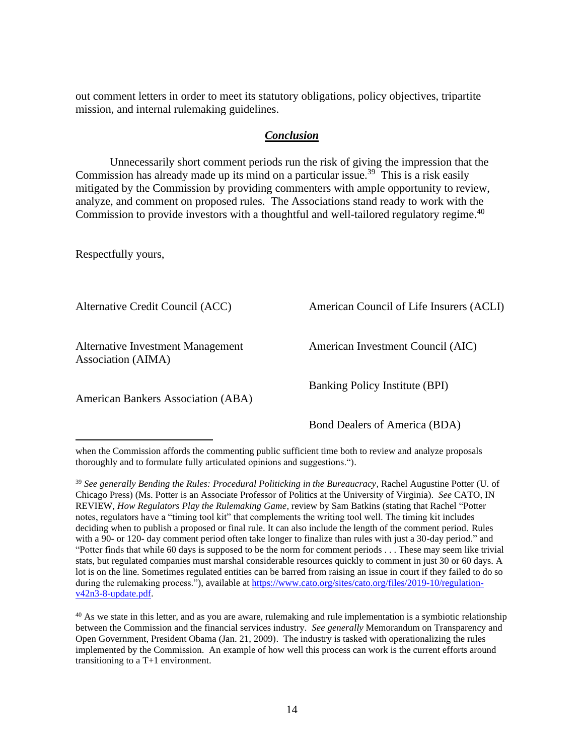out comment letters in order to meet its statutory obligations, policy objectives, tripartite mission, and internal rulemaking guidelines.

#### *Conclusion*

Unnecessarily short comment periods run the risk of giving the impression that the Commission has already made up its mind on a particular issue.<sup>39</sup> This is a risk easily mitigated by the Commission by providing commenters with ample opportunity to review, analyze, and comment on proposed rules. The Associations stand ready to work with the Commission to provide investors with a thoughtful and well-tailored regulatory regime.<sup>40</sup>

Respectfully yours,

Alternative Credit Council (ACC)

Alternative Investment Management Association (AIMA)

American Bankers Association (ABA)

American Council of Life Insurers (ACLI)

American Investment Council (AIC)

Banking Policy Institute (BPI)

Bond Dealers of America (BDA)

when the Commission affords the commenting public sufficient time both to review and analyze proposals thoroughly and to formulate fully articulated opinions and suggestions.").

<sup>&</sup>lt;sup>39</sup> See generally Bending the Rules: Procedural Politicking in the Bureaucracy, Rachel Augustine Potter (U. of Chicago Press) (Ms. Potter is an Associate Professor of Politics at the University of Virginia). *See* CATO, IN REVIEW, *How Regulators Play the Rulemaking Game*, review by Sam Batkins (stating that Rachel "Potter notes, regulators have a "timing tool kit" that complements the writing tool well. The timing kit includes deciding when to publish a proposed or final rule. It can also include the length of the comment period. Rules with a 90- or 120- day comment period often take longer to finalize than rules with just a 30-day period." and "Potter finds that while 60 days is supposed to be the norm for comment periods . . . These may seem like trivial stats, but regulated companies must marshal considerable resources quickly to comment in just 30 or 60 days. A lot is on the line. Sometimes regulated entities can be barred from raising an issue in court if they failed to do so during the rulemaking process."), available at [https://www.cato.org/sites/cato.org/files/2019-10/regulation](https://www.cato.org/sites/cato.org/files/2019-10/regulation-v42n3-8-update.pdf)[v42n3-8-update.pdf.](https://www.cato.org/sites/cato.org/files/2019-10/regulation-v42n3-8-update.pdf) 

<sup>&</sup>lt;sup>40</sup> As we state in this letter, and as you are aware, rulemaking and rule implementation is a symbiotic relationship between the Commission and the financial services industry. *See generally* Memorandum on Transparency and Open Government, President Obama (Jan. 21, 2009). The industry is tasked with operationalizing the rules implemented by the Commission. An example of how well this process can work is the current efforts around transitioning to a T+1 environment.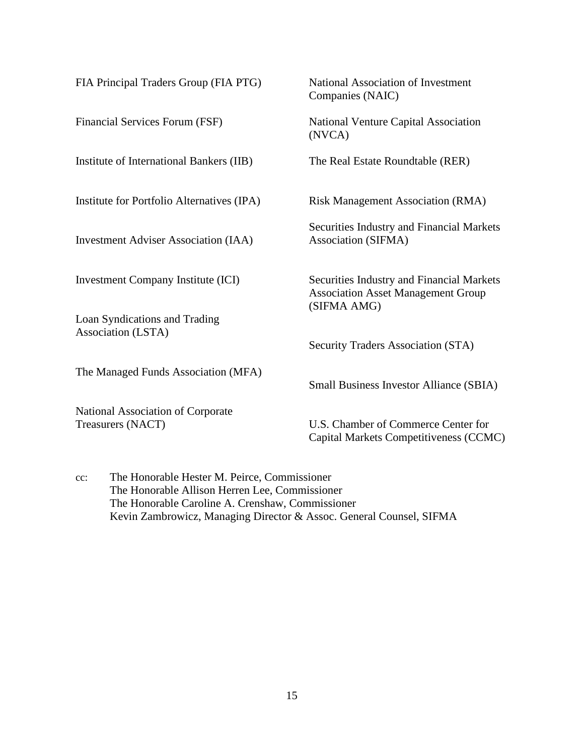| FIA Principal Traders Group (FIA PTG)                         | National Association of Investment<br>Companies (NAIC)                                                |
|---------------------------------------------------------------|-------------------------------------------------------------------------------------------------------|
| Financial Services Forum (FSF)                                | National Venture Capital Association<br>(NVCA)                                                        |
| Institute of International Bankers (IIB)                      | The Real Estate Roundtable (RER)                                                                      |
| Institute for Portfolio Alternatives (IPA)                    | <b>Risk Management Association (RMA)</b>                                                              |
| <b>Investment Adviser Association (IAA)</b>                   | Securities Industry and Financial Markets<br>Association (SIFMA)                                      |
| <b>Investment Company Institute (ICI)</b>                     | Securities Industry and Financial Markets<br><b>Association Asset Management Group</b><br>(SIFMA AMG) |
| Loan Syndications and Trading<br>Association (LSTA)           |                                                                                                       |
|                                                               | Security Traders Association (STA)                                                                    |
| The Managed Funds Association (MFA)                           | <b>Small Business Investor Alliance (SBIA)</b>                                                        |
| <b>National Association of Corporate</b><br>Treasurers (NACT) | U.S. Chamber of Commerce Center for<br>Capital Markets Competitiveness (CCMC)                         |

cc: The Honorable Hester M. Peirce, Commissioner The Honorable Allison Herren Lee, Commissioner The Honorable Caroline A. Crenshaw, Commissioner Kevin Zambrowicz, Managing Director & Assoc. General Counsel, SIFMA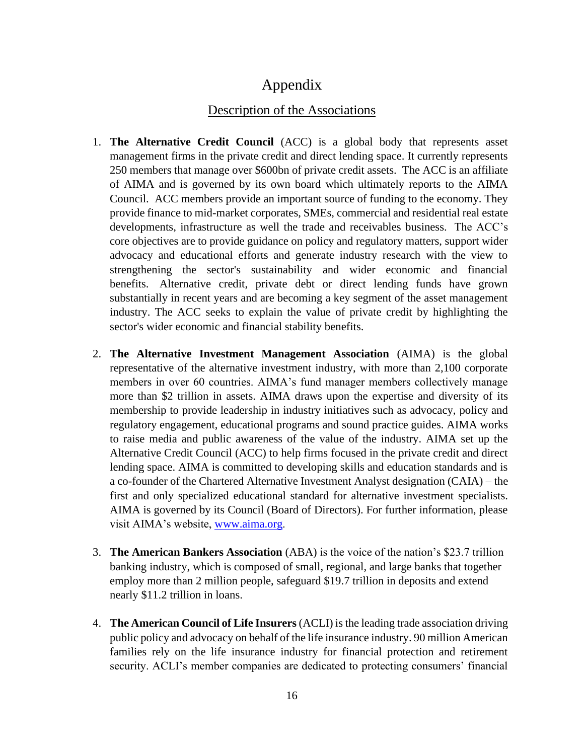# Appendix

# Description of the Associations

- 1. **The Alternative Credit Council** (ACC) is a global body that represents asset management firms in the private credit and direct lending space. It currently represents 250 members that manage over \$600bn of private credit assets. The ACC is an affiliate of AIMA and is governed by its own board which ultimately reports to the AIMA Council. ACC members provide an important source of funding to the economy. They provide finance to mid-market corporates, SMEs, commercial and residential real estate developments, infrastructure as well the trade and receivables business. The ACC's core objectives are to provide guidance on policy and regulatory matters, support wider advocacy and educational efforts and generate industry research with the view to strengthening the sector's sustainability and wider economic and financial benefits. Alternative credit, private debt or direct lending funds have grown substantially in recent years and are becoming a key segment of the asset management industry. The ACC seeks to explain the value of private credit by highlighting the sector's wider economic and financial stability benefits.
- 2. **The Alternative Investment Management Association** (AIMA) is the global representative of the alternative investment industry, with more than 2,100 corporate members in over 60 countries. AIMA's fund manager members collectively manage more than \$2 trillion in assets. AIMA draws upon the expertise and diversity of its membership to provide leadership in industry initiatives such as advocacy, policy and regulatory engagement, educational programs and sound practice guides. AIMA works to raise media and public awareness of the value of the industry. AIMA set up the Alternative Credit Council (ACC) to help firms focused in the private credit and direct lending space. AIMA is committed to developing skills and education standards and is a co-founder of the Chartered Alternative Investment Analyst designation (CAIA) – the first and only specialized educational standard for alternative investment specialists. AIMA is governed by its Council (Board of Directors). For further information, please visit AIMA's website, [www.aima.org](http://www.aima.org/).
- 3. **The American Bankers Association** (ABA) is the voice of the nation's \$23.7 trillion banking industry, which is composed of small, regional, and large banks that together employ more than 2 million people, safeguard \$19.7 trillion in deposits and extend nearly \$11.2 trillion in loans.
- 4. **The American Council of Life Insurers** (ACLI) is the leading trade association driving public policy and advocacy on behalf of the life insurance industry. 90 million American families rely on the life insurance industry for financial protection and retirement security. ACLI's member companies are dedicated to protecting consumers' financial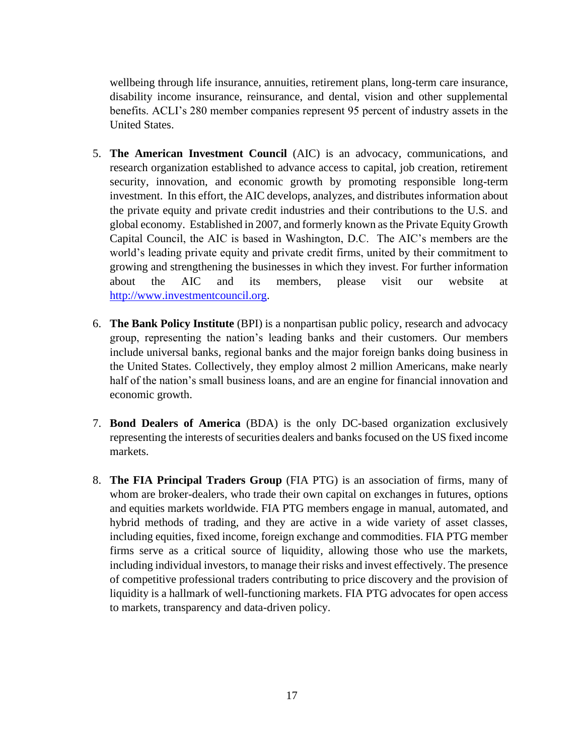wellbeing through life insurance, annuities, retirement plans, long-term care insurance, disability income insurance, reinsurance, and dental, vision and other supplemental benefits. ACLI's 280 member companies represent 95 percent of industry assets in the United States.

- 5. **The American Investment Council** (AIC) is an advocacy, communications, and research organization established to advance access to capital, job creation, retirement security, innovation, and economic growth by promoting responsible long-term investment. In this effort, the AIC develops, analyzes, and distributes information about the private equity and private credit industries and their contributions to the U.S. and global economy. Established in 2007, and formerly known as the Private Equity Growth Capital Council, the AIC is based in Washington, D.C. The AIC's members are the world's leading private equity and private credit firms, united by their commitment to growing and strengthening the businesses in which they invest. For further information about the AIC and its members, please visit our website at [http://www.investmentcouncil.org.](http://www.investmentcouncil.org/)
- 6. **The Bank Policy Institute** (BPI) is a nonpartisan public policy, research and advocacy group, representing the nation's leading banks and their customers. Our members include universal banks, regional banks and the major foreign banks doing business in the United States. Collectively, they employ almost 2 million Americans, make nearly half of the nation's small business loans, and are an engine for financial innovation and economic growth.
- 7. **Bond Dealers of America** (BDA) is the only DC-based organization exclusively representing the interests of securities dealers and banks focused on the US fixed income markets.
- 8. **The FIA Principal Traders Group** (FIA PTG) is an association of firms, many of whom are broker-dealers, who trade their own capital on exchanges in futures, options and equities markets worldwide. FIA PTG members engage in manual, automated, and hybrid methods of trading, and they are active in a wide variety of asset classes, including equities, fixed income, foreign exchange and commodities. FIA PTG member firms serve as a critical source of liquidity, allowing those who use the markets, including individual investors, to manage their risks and invest effectively. The presence of competitive professional traders contributing to price discovery and the provision of liquidity is a hallmark of well-functioning markets. FIA PTG advocates for open access to markets, transparency and data-driven policy.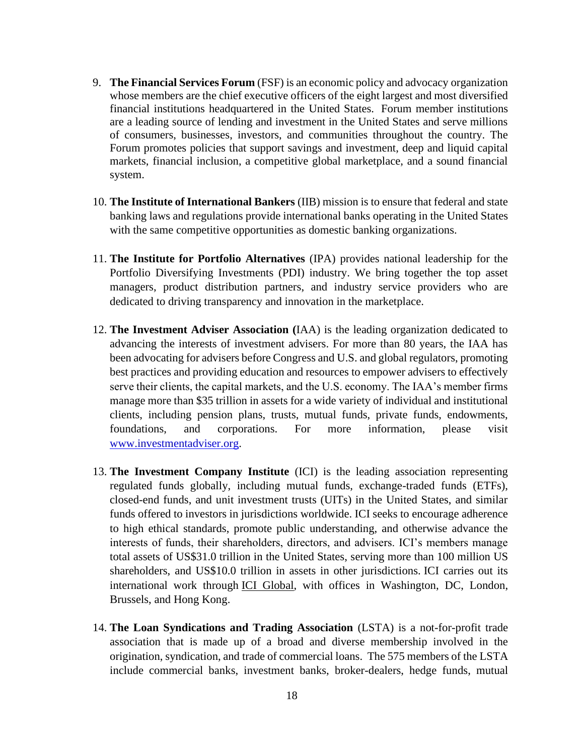- 9. **The Financial Services Forum** (FSF) is an economic policy and advocacy organization whose members are the chief executive officers of the eight largest and most diversified financial institutions headquartered in the United States. Forum member institutions are a leading source of lending and investment in the United States and serve millions of consumers, businesses, investors, and communities throughout the country. The Forum promotes policies that support savings and investment, deep and liquid capital markets, financial inclusion, a competitive global marketplace, and a sound financial system.
- 10. **The Institute of International Bankers** (IIB) mission is to ensure that federal and state banking laws and regulations provide international banks operating in the United States with the same competitive opportunities as domestic banking organizations.
- 11. **The Institute for Portfolio Alternatives** (IPA) provides national leadership for the Portfolio Diversifying Investments (PDI) industry. We bring together the top asset managers, product distribution partners, and industry service providers who are dedicated to driving transparency and innovation in the marketplace.
- 12. **The Investment Adviser Association (**IAA) is the leading organization dedicated to advancing the interests of investment advisers. For more than 80 years, the IAA has been advocating for advisers before Congress and U.S. and global regulators, promoting best practices and providing education and resources to empower advisers to effectively serve their clients, the capital markets, and the U.S. economy. The IAA's member firms manage more than \$35 trillion in assets for a wide variety of individual and institutional clients, including pension plans, trusts, mutual funds, private funds, endowments, foundations, and corporations. For more information, please visit [www.investmentadviser.org.](http://www.investmentadviser.org/)
- 13. **The Investment Company Institute** (ICI) is the leading association representing regulated funds globally, including mutual funds, exchange-traded funds (ETFs), closed-end funds, and unit investment trusts (UITs) in the United States, and similar funds offered to investors in jurisdictions worldwide. ICI seeks to encourage adherence to high ethical standards, promote public understanding, and otherwise advance the interests of funds, their shareholders, directors, and advisers. ICI's members manage total assets of US\$31.0 trillion in the United States, serving more than 100 million US shareholders, and US\$10.0 trillion in assets in other jurisdictions. ICI carries out its international work through [ICI Global,](https://www.iciglobal.org/) with offices in Washington, DC, London, Brussels, and Hong Kong.
- 14. **The Loan Syndications and Trading Association** (LSTA) is a not-for-profit trade association that is made up of a broad and diverse membership involved in the origination, syndication, and trade of commercial loans. The 575 members of the LSTA include commercial banks, investment banks, broker-dealers, hedge funds, mutual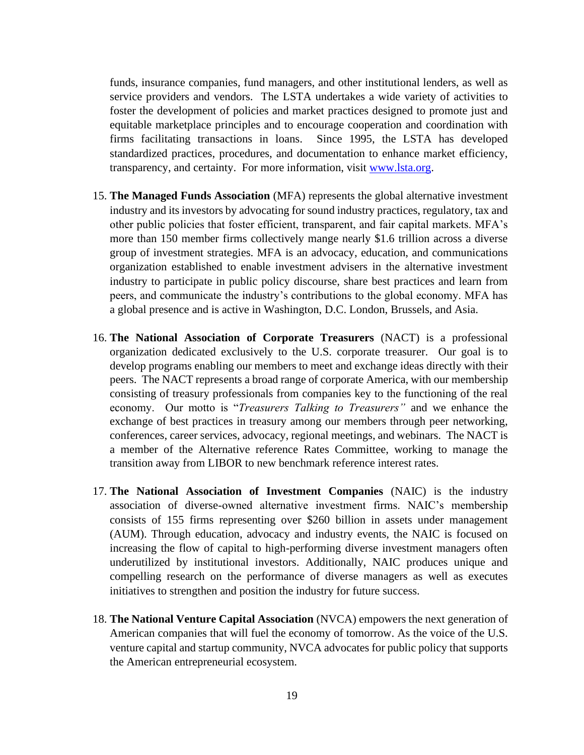funds, insurance companies, fund managers, and other institutional lenders, as well as service providers and vendors. The LSTA undertakes a wide variety of activities to foster the development of policies and market practices designed to promote just and equitable marketplace principles and to encourage cooperation and coordination with firms facilitating transactions in loans. Since 1995, the LSTA has developed standardized practices, procedures, and documentation to enhance market efficiency, transparency, and certainty. For more information, visit [www.lsta.org.](http://www.lsta.org/)

- 15. **The Managed Funds Association** (MFA) represents the global alternative investment industry and its investors by advocating for sound industry practices, regulatory, tax and other public policies that foster efficient, transparent, and fair capital markets. MFA's more than 150 member firms collectively mange nearly \$1.6 trillion across a diverse group of investment strategies. MFA is an advocacy, education, and communications organization established to enable investment advisers in the alternative investment industry to participate in public policy discourse, share best practices and learn from peers, and communicate the industry's contributions to the global economy. MFA has a global presence and is active in Washington, D.C. London, Brussels, and Asia.
- 16. **The National Association of Corporate Treasurers** (NACT) is a professional organization dedicated exclusively to the U.S. corporate treasurer. Our goal is to develop programs enabling our members to meet and exchange ideas directly with their peers. The NACT represents a broad range of corporate America, with our membership consisting of treasury professionals from companies key to the functioning of the real economy. Our motto is "*Treasurers Talking to Treasurers"* and we enhance the exchange of best practices in treasury among our members through peer networking, conferences, career services, advocacy, regional meetings, and webinars. The NACT is a member of the Alternative reference Rates Committee, working to manage the transition away from LIBOR to new benchmark reference interest rates.
- 17. **The National Association of Investment Companies** (NAIC) is the industry association of diverse-owned alternative investment firms. NAIC's membership consists of 155 firms representing over \$260 billion in assets under management (AUM). Through education, advocacy and industry events, the NAIC is focused on increasing the flow of capital to high-performing diverse investment managers often underutilized by institutional investors. Additionally, NAIC produces unique and compelling research on the performance of diverse managers as well as executes initiatives to strengthen and position the industry for future success.
- 18. **The National Venture Capital Association** (NVCA) empowers the next generation of American companies that will fuel the economy of tomorrow. As the voice of the U.S. venture capital and startup community, NVCA advocates for public policy that supports the American entrepreneurial ecosystem.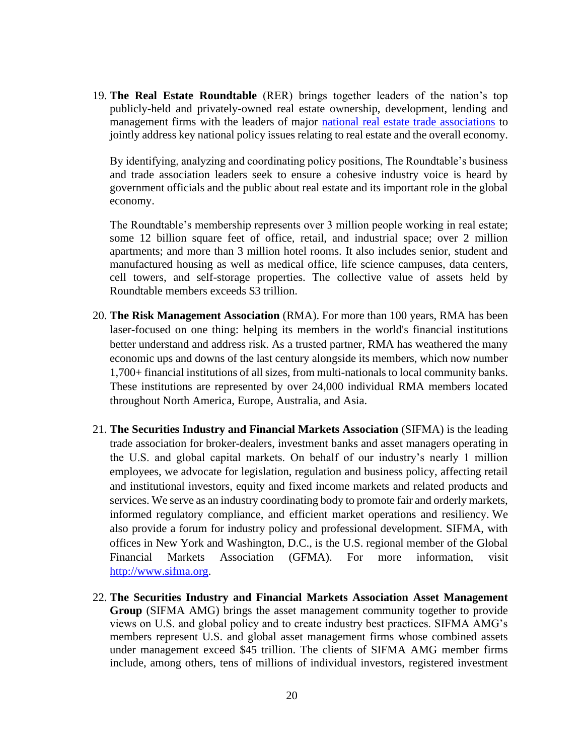19. **The Real Estate Roundtable** (RER) brings together leaders of the nation's top publicly-held and privately-owned real estate ownership, development, lending and management firms with the leaders of major [national real estate trade associations](https://www.rer.org/about-us/partner-associations) to jointly address key national policy issues relating to real estate and the overall economy.

By identifying, analyzing and coordinating policy positions, The Roundtable's business and trade association leaders seek to ensure a cohesive industry voice is heard by government officials and the public about real estate and its important role in the global economy.

The Roundtable's membership represents over 3 million people working in real estate; some 12 billion square feet of office, retail, and industrial space; over 2 million apartments; and more than 3 million hotel rooms. It also includes senior, student and manufactured housing as well as medical office, life science campuses, data centers, cell towers, and self-storage properties. The collective value of assets held by Roundtable members exceeds \$3 trillion.

- 20. **The Risk Management Association** (RMA). For more than 100 years, RMA has been laser-focused on one thing: helping its members in the world's financial institutions better understand and address risk. As a trusted partner, RMA has weathered the many economic ups and downs of the last century alongside its members, which now number 1,700+ financial institutions of all sizes, from multi-nationals to local community banks. These institutions are represented by over 24,000 individual RMA members located throughout North America, Europe, Australia, and Asia.
- 21. **The Securities Industry and Financial Markets Association** (SIFMA) is the leading trade association for broker-dealers, investment banks and asset managers operating in the U.S. and global capital markets. On behalf of our industry's nearly 1 million employees, we advocate for legislation, regulation and business policy, affecting retail and institutional investors, equity and fixed income markets and related products and services. We serve as an industry coordinating body to promote fair and orderly markets, informed regulatory compliance, and efficient market operations and resiliency. We also provide a forum for industry policy and professional development. SIFMA, with offices in New York and Washington, D.C., is the U.S. regional member of the Global Financial Markets Association (GFMA). For more information, visit [http://www.sifma.org.](http://www.sifma.org/)
- 22. **The Securities Industry and Financial Markets Association Asset Management Group** (SIFMA AMG) brings the asset management community together to provide views on U.S. and global policy and to create industry best practices. SIFMA AMG's members represent U.S. and global asset management firms whose combined assets under management exceed \$45 trillion. The clients of SIFMA AMG member firms include, among others, tens of millions of individual investors, registered investment